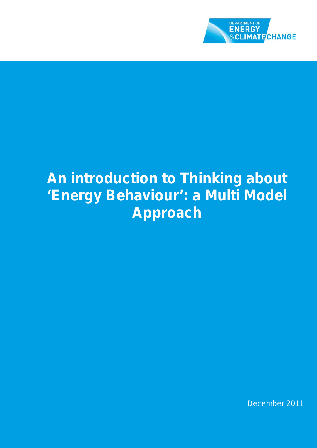

# **An introduction to Thinking about 'Energy Behaviour': a Multi Model Approach**

December 2011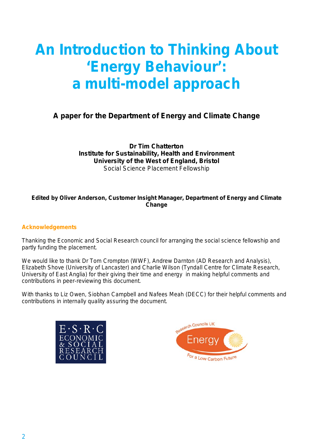# **An Introduction to Thinking About 'Energy Behaviour': a multi-model approach**

# **A paper for the Department of Energy and Climate Change**

**Dr Tim Chatterton Institute for Sustainability, Health and Environment University of the West of England, Bristol** Social Science Placement Fellowship

#### **Edited by Oliver Anderson, Customer Insight Manager, Department of Energy and Climate Change**

#### **Acknowledgements**

Thanking the Economic and Social Research council for arranging the social science fellowship and partly funding the placement.

We would like to thank Dr Tom Crompton (WWF), Andrew Darnton (AD Research and Analysis), Elizabeth Shove (University of Lancaster) and Charlie Wilson (Tyndall Centre for Climate Research, University of East Anglia) for their giving their time and energy in making helpful comments and contributions in peer-reviewing this document.

With thanks to Liz Owen, Siobhan Campbell and Nafees Meah (DECC) for their helpful comments and contributions in internally quality assuring the document.



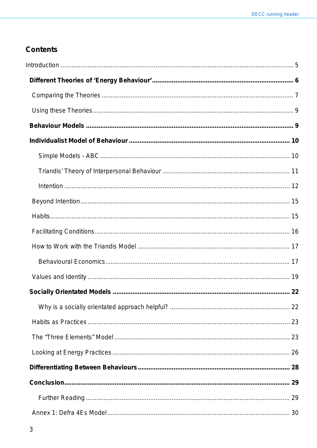# **Contents**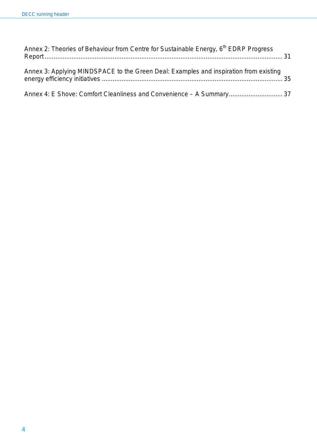| Annex 2: Theories of Behaviour from Centre for Sustainable Energy, 6 <sup>th</sup> EDRP Progress |  |
|--------------------------------------------------------------------------------------------------|--|
| Annex 3: Applying MINDSPACE to the Green Deal: Examples and inspiration from existing            |  |
| Annex 4: E Shove: Comfort Cleanliness and Convenience - A Summary 37                             |  |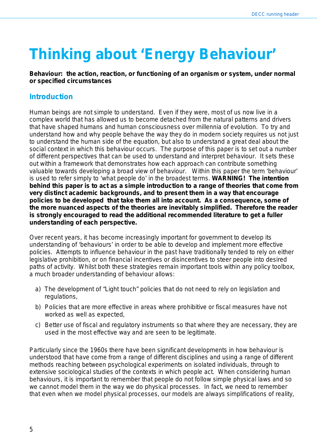# **Thinking about 'Energy Behaviour'**

**Behaviour: the action, reaction, or functioning of an organism or system, under normal or specified circumstances**

## <span id="page-4-0"></span>**Introduction**

Human beings are not simple to understand. Even if they were, most of us now live in a complex world that has allowed us to become detached from the natural patterns and drivers that have shaped humans and human consciousness over millennia of evolution. To try and understand how and why people behave the way they do in modern society requires us not just to understand the human side of the equation, but also to understand a great deal about the social context in which this behaviour occurs. The purpose of this paper is to set out a number of different perspectives that can be used to understand and interpret behaviour. It sets these out within a framework that demonstrates how each approach can contribute something valuable towards developing a broad view of behaviour. Within this paper the term 'behaviour' is used to refer simply to 'what people do' in the broadest terms. **WARNING! The intention behind this paper is to act as a simple introduction to a range of theories that come from very distinct academic backgrounds, and to present them in a way that encourage policies to be developed that take them all into account. As a consequence, some of the more nuanced aspects of the theories are inevitably simplified. Therefore the reader is strongly encouraged to read the additional recommended literature to get a fuller understanding of each perspective.**

Over recent years, it has become increasingly important for government to develop its understanding of 'behaviours' in order to be able to develop and implement more effective policies. Attempts to influence behaviour in the past have traditionally tended to rely on either legislative prohibition, or on financial incentives or disincentives to steer people into desired paths of activity. Whilst both these strategies remain important tools within any policy toolbox, a much broader understanding of behaviour allows:

- a) The development of "Light touch" policies that do not need to rely on legislation and regulations,
- b) Policies that are more effective in areas where prohibitive or fiscal measures have not worked as well as expected,
- c) Better use of fiscal and regulatory instruments so that where they are necessary, they are used in the most effective way and are seen to be legitimate.

Particularly since the 1960s there have been significant developments in how behaviour is understood that have come from a range of different disciplines and using a range of different methods reaching between psychological experiments on isolated individuals, through to extensive sociological studies of the contexts in which people act. When considering human behaviours, it is important to remember that people do not follow simple physical laws and so we cannot model them in the way we do physical processes. In fact, we need to remember that even when we model physical processes, our models are always simplifications of reality,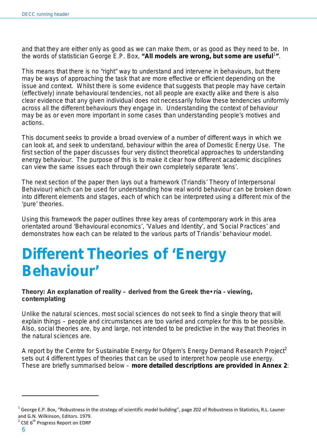and that they are either only as good as we can make them, or as good as they need to be. In the words of statistician George E.P. Box, "All models are wrong, but some are useful<sup>1</sup>".

This means that there is no "right" way to understand and intervene in behaviours, but there may be ways of approaching the task that are more effective or efficient depending on the issue and context. Whilst there is some evidence that suggests that people may have certain (effectively) innate behavioural tendencies, not all people are exactly alike and there is also clear evidence that any given individual does not necessarily follow these tendencies uniformly across all the different behaviours they engage in. Understanding the context of behaviour may be as or even more important in some cases than understanding people's motives and actions.

This document seeks to provide a broad overview of a number of different ways in which we can look at, and seek to understand, behaviour within the area of Domestic Energy Use. The first section of the paper discusses four very distinct theoretical approaches to understanding energy behaviour. The purpose of this is to make it clear how different academic disciplines can view the same issues each through their own completely separate 'lens'.

The next section of the paper then lays out a framework (Triandis' Theory of Interpersonal Behaviour) which can be used for understanding how real world behaviour can be broken down into different elements and stages, each of which can be interpreted using a different mix of the 'pure' theories.

Using this framework the paper outlines three key areas of contemporary work in this area orientated around 'Behavioural economics', 'Values and Identity', and 'Social Practices' and demonstrates how each can be related to the various parts of Triandis' behaviour model.

# <span id="page-5-0"></span>**Different Theories of 'Energy Behaviour'**

**Theory: An explanation of reality – derived from the Greek** *the• ría* **- viewing, contemplating**

Unlike the natural sciences, most social sciences do not seek to find a single theory that will explain things – people and circumstances are too varied and complex for this to be possible. Also, social theories are, by and large, not intended to be predictive in the way that theories in the natural sciences are.

A report by the Centre for Sustainable Energy for Ofgem's Energy Demand Research Project<sup>2</sup> sets out 4 different types of theories that can be used to interpret how people use energy. These are briefly summarised below – **more detailed descriptions are provided in Annex 2**:

 $1$  George E.P. Box, "Robustness in the strategy of scientific model building", page 202 of Robustness in Statistics, R.L. Launer and G.N. Wilkinson, Editors. 1979.

 $2$  CSE  $6<sup>th</sup>$  Progress Report on EDRP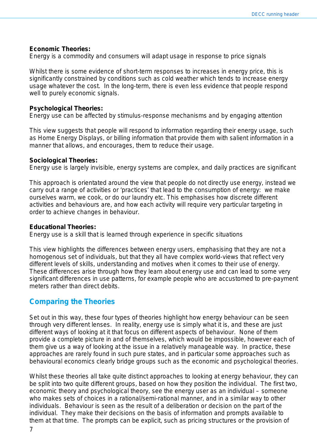#### **Economic Theories:**

*Energy is a commodity and consumers will adapt usage in response to price signals*

Whilst there is some evidence of short-term responses to increases in energy price, this is significantly constrained by conditions such as cold weather which tends to increase energy usage whatever the cost. In the long-term, there is even less evidence that people respond well to purely economic signals.

#### **Psychological Theories:**

*Energy use can be affected by stimulus-response mechanisms and by engaging attention*

This view suggests that people will respond to information regarding their energy usage, such as Home Energy Displays, or billing information that provide them with salient information in a manner that allows, and encourages, them to reduce their usage.

#### **Sociological Theories:**

*Energy use is largely invisible, energy systems are complex, and daily practices are significant*

This approach is orientated around the view that people do not directly use energy, instead we carry out a range of activities or 'practices' that lead to the consumption of energy: we make ourselves warm, we cook, or do our laundry etc. This emphasises how discrete different activities and behaviours are, and how each activity will require very particular targeting in order to achieve changes in behaviour.

#### **Educational Theories:**

*Energy use is a skill that is learned through experience in specific situations*

This view highlights the differences between energy users, emphasising that they are not a homogenous set of individuals, but that they all have complex world-views that reflect very different levels of skills, understanding and motives when it comes to their use of energy. These differences arise through how they learn about energy use and can lead to some very significant differences in use patterns, for example people who are accustomed to pre-payment meters rather than direct debits.

# <span id="page-6-0"></span>**Comparing the Theories**

Set out in this way, these four types of theories highlight how energy behaviour can be seen through very different lenses. In reality, energy use is simply what it is, and these are just different ways of looking at it that focus on different aspects of behaviour. None of them provide a complete picture in and of themselves, which would be impossible, however each of them give us a way of looking at the issue in a relatively manageable way. In practice, these approaches are rarely found in such pure states, and in particular some approaches such as behavioural economics clearly bridge groups such as the economic and psychological theories.

Whilst these theories all take quite distinct approaches to looking at energy behaviour, they can be split into two quite different groups, based on how they position the individual. The first two, economic theory and psychological theory, see the energy user as an individual – someone who makes sets of choices in a rational/semi-rational manner, and in a similar way to other individuals. Behaviour is seen as the result of a deliberation or decision on the part of the individual. They make their decisions on the basis of information and prompts available to them at that time. The prompts can be explicit, such as pricing structures or the provision of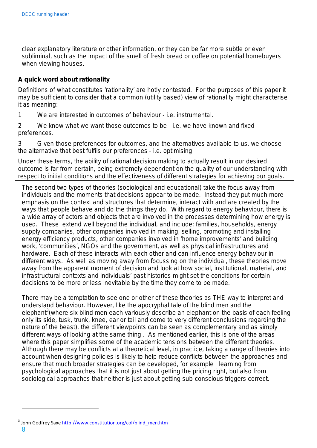clear explanatory literature or other information, or they can be far more subtle or even subliminal, such as the impact of the smell of fresh bread or coffee on potential homebuyers when viewing houses.

#### **A quick word about rationality**

Definitions of what constitutes 'rationality' are hotly contested. For the purposes of this paper it may be sufficient to consider that a common (utility based) view of rationality might characterise it as meaning:

1 We are interested in outcomes of behaviour - i.e. instrumental.

2 We know what we want those outcomes to be - i.e. we have known and fixed preferences.

3 Given those preferences for outcomes, and the alternatives available to us, we choose the alternative that best fulfils our preferences - i.e. optimising

Under these terms, the ability of rational decision making to actually result in our desired outcome is far from certain, being extremely dependent on the quality of our understanding with respect to initial conditions and the effectiveness of different strategies for achieving our goals.

The second two types of theories (sociological and educational) take the focus away from individuals and the moments that decisions appear to be made. Instead they put much more emphasis on the context and structures that determine, interact with and are created by the ways that people behave and do the things they do. With regard to energy behaviour, there is a wide array of actors and objects that are involved in the processes determining how energy is used. These extend well beyond the individual, and include: families, households, energy supply companies, other companies involved in making, selling, promoting and installing energy efficiency products, other companies involved in 'home improvements' and building work, 'communities', NGOs and the government, as well as physical infrastructures and hardware. Each of these interacts with each other and can influence energy behaviour in different ways. As well as moving away from focussing on the individual, these theories move away from the apparent moment of decision and look at how social, institutional, material, and infrastructural contexts and individuals' past histories might set the conditions for certain decisions to be more or less inevitable by the time they come to be made.

There may be a temptation to see one or other of these theories as THE way to interpret and understand behaviour. However, like the apocryphal tale of the blind men and the elephant<sup>3</sup>(where six blind men each variously describe an elephant on the basis of each feeling only its side, tusk, trunk, knee, ear or tail and come to very different conclusions regarding the nature of the beast), the different viewpoints *can* be seen as complementary and as simply different ways of looking at the same thing . As mentioned earlier, this is one of the areas where this paper simplifies some of the academic tensions between the different theories. Although there may be conflicts at a theoretical level, in practice, taking a range of theories into account when designing policies is likely to help reduce conflicts between the approaches and ensure that much broader strategies can be developed, for example learning from psychological approaches that it is not *just* about getting the pricing right, but also from sociological approaches that neither is *just* about getting sub-conscious triggers correct.

8

<sup>&</sup>lt;sup>3</sup> John Godfrey Saxe [http://www.constitution.org/col/blind\\_men.htm](http://www.constitution.org/col/blind_men.htm)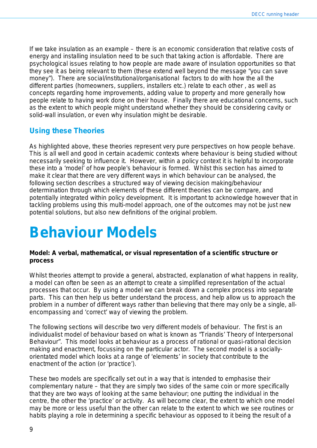If we take insulation as an example – there is an *economic* consideration that relative costs of energy and installing insulation need to be such that taking action is affordable. There are *psychological* issues relating to how people are made aware of insulation opportunities so that they see it as being relevant to them (these extend well beyond the message "you can save money"). There are *social/institutional/organisational* factors to do with how the all the different parties (homeowners, suppliers, installers etc.) relate to each other , as well as concepts regarding home improvements, adding value to property and more generally how people relate to having work done on their house. Finally there are *educational* concerns, such as the extent to which people might understand whether they should be considering cavity or solid-wall insulation, or even why insulation might be desirable.

# <span id="page-8-0"></span>**Using these Theories**

As highlighted above, these theories represent very pure perspectives on how people behave. This is all well and good in certain academic contexts where behaviour is being studied without necessarily seeking to influence it. However, within a policy context it is helpful to incorporate these into a 'model' of how people's behaviour is formed. Whilst this section has aimed to make it clear that there are very different ways in which behaviour can be analysed, the following section describes a structured way of viewing decision making/behaviour determination through which elements of these different theories can be compare, and potentially integrated within policy development. It is important to acknowledge however that in tackling problems using this multi-model approach, one of the outcomes may not be just new potential solutions, but also new definitions of the original problem.

# <span id="page-8-1"></span>**Behaviour Models**

#### **Model: A verbal, mathematical, or visual representation of a scientific structure or process**

Whilst theories attempt to provide a general, abstracted, explanation of what happens in reality, a model can often be seen as an attempt to create a simplified representation of the actual processes that occur. By using a model we can break down a complex process into separate parts. This can then help us better understand the process, and help allow us to approach the problem in a number of different ways rather than believing that there may only be a single, allencompassing and 'correct' way of viewing the problem.

The following sections will describe two very different models of behaviour. The first is an individualist model of behaviour based on what is known as "Triandis' Theory of Interpersonal Behaviour". This model looks at behaviour as a process of rational or quasi-rational decision making and enactment, focussing on the particular *actor*. The second model is a sociallyorientated model which looks at a range of 'elements' in society that contribute to the enactment of the *action* (or 'practice').

These two models are specifically set out in a way that is intended to emphasise their complementary nature – that they are simply two sides of the same coin or more specifically that they are two ways of looking at the same behaviour; one putting the individual in the centre, the other the 'practice' or activity. As will become clear, the extent to which one model may be more or less useful than the other can relate to the extent to which we see routines or habits playing a role in determining a specific behaviour as opposed to it being the result of a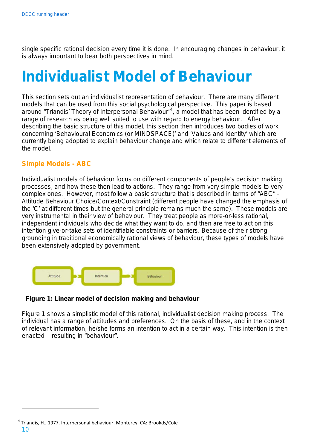single specific rational decision every time it is done. In encouraging changes in behaviour, it is always important to bear both perspectives in mind.

# <span id="page-9-0"></span>**Individualist Model of Behaviour**

This section sets out an individualist representation of behaviour. There are many different models that can be used from this social psychological perspective. This paper is based around "Triandis' Theory of Interpersonal Behaviour"<sup>4</sup>, a model that has been identified by a range of research as being well suited to use with regard to energy behaviour. After describing the basic structure of this model, this section then introduces two bodies of work concerning 'Behavioural Economics (or MINDSPACE)' and 'Values and Identity' which are currently being adopted to explain behaviour change and which relate to different elements of the model.

## <span id="page-9-1"></span>**Simple Models - ABC**

Individualist models of behaviour focus on different components of people's decision making processes, and how these then lead to actions. They range from very simple models to very complex ones. However, most follow a basic structure that is described in terms of "ABC" – Attitude Behaviour Choice/Context/Constraint (different people have changed the emphasis of the 'C' at different times but the general principle remains much the same). These models are very instrumental in their view of behaviour. They treat people as more-or-less rational, independent individuals who decide what they want to do, and then are free to act on this intention give-or-take sets of identifiable constraints or barriers. Because of their strong grounding in traditional economically rational views of behaviour, these types of models have been extensively adopted by government.



#### <span id="page-9-3"></span>**Figure 1: Linear model of decision making and behaviour**

<span id="page-9-2"></span>[Figure 1](#page-9-3) shows a simplistic model of this rational, individualist decision making process. The individual has a range of attitudes and preferences. On the basis of these, and in the context of relevant information, he/she forms an intention to act in a certain way. This intention is then enacted – resulting in "behaviour".

<sup>10</sup> <sup>4</sup> Triandis, H., 1977. Interpersonal behaviour. Monterey, CA: Brookds/Cole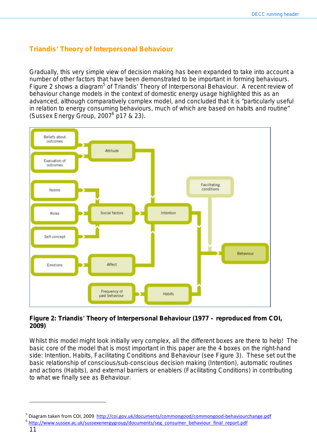## **Triandis' Theory of Interpersonal Behaviour**

Gradually, this very simple view of decision making has been expanded to take into account a number of other factors that have been demonstrated to be important in forming behaviours. [Figure 2](#page-10-0) shows a diagram<sup>5</sup> of Triandis' Theory of Interpersonal Behaviour. A recent review of behaviour change models in the context of domestic energy usage highlighted this as an advanced, although comparatively complex model, and concluded that it is "particularly useful in relation to energy consuming behaviours, much of which are based on habits and routine" (Sussex Energy Group, 20076 p17 & 23).



#### <span id="page-10-0"></span>**Figure 2: Triandis' Theory of Interpersonal Behaviour (1977 – reproduced from COI, 2009)**

Whilst this model might look initially very complex, all the different boxes are there to help! The basic core of the model that is most important in this paper are the 4 boxes on the right-hand side: Intention, Habits, Facilitating Conditions and Behaviour (see [Figure 3\)](#page-11-1). These set out the basic relationship of conscious/sub-conscious decision making (Intention), automatic routines and actions (Habits), and external barriers or enablers (Facilitating Conditions) in contributing to what we finally see as Behaviour.

Diagram taken from COI, 2009<http://coi.gov.uk/documents/commongood/commongood-behaviourchange.pdf>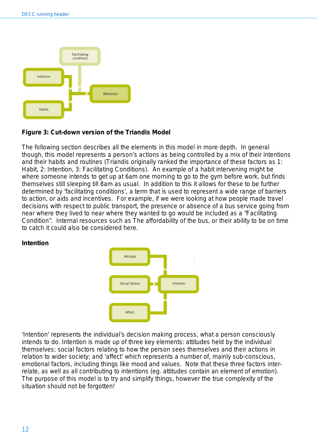

### <span id="page-11-1"></span>**Figure 3: Cut-down version of the Triandis Model**

The following section describes all the elements in this model in more depth. In general though, this model represents a person's actions as being controlled by a mix of their intentions and their habits and routines (Triandis originally ranked the importance of these factors as 1: Habit, 2: Intention, 3: Facilitating Conditions). An example of a habit intervening might be where someone intends to get up at 6am one morning to go to the gym before work, but finds themselves still sleeping till 8am as usual. In addition to this it allows for these to be further determined by 'facilitating conditions', a term that is used to represent a wide range of barriers to action, or aids and incentives. For example, if we were looking at how people made travel decisions with respect to public transport, the presence or absence of a bus service going from near where they lived to near where they wanted to go would be included as a "Facilitating Condition". Internal resources such as The affordability of the bus, or their ability to be on time to catch it could also be considered here.

#### <span id="page-11-0"></span>**Intention**



'Intention' represents the individual's decision making process, what a person consciously intends to do. Intention is made up of three key elements: attitudes held by the individual themselves; social factors relating to how the person sees themselves and their actions in relation to wider society; and 'affect' which represents a number of, mainly sub-conscious, emotional factors, including things like mood and values. Note that these three factors interrelate, as well as all contributing to intentions (eg. attitudes contain an element of emotion). The purpose of this model is to try and simplify things, however the true complexity of the situation should not be forgotten!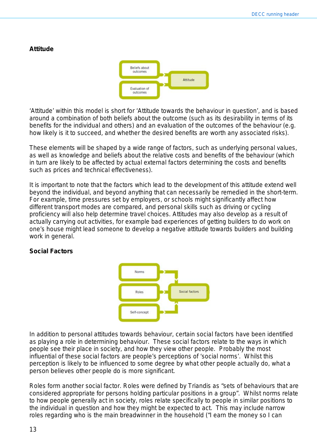#### **Attitude**



'Attitude' within this model is short for 'Attitude towards the behaviour in question', and is based around a combination of both beliefs about the outcome (such as its desirability in terms of its benefits for the individual and others) and an evaluation of the outcomes of the behaviour (e.g. how likely is it to succeed, and whether the desired benefits are worth any associated risks).

These elements will be shaped by a wide range of factors, such as underlying personal values, as well as knowledge and beliefs about the relative costs and benefits of the behaviour (which in turn are likely to be affected by actual external factors determining the costs and benefits such as prices and technical effectiveness).

It is important to note that the factors which lead to the development of this attitude extend well beyond the individual, and beyond anything that can necessarily be remedied in the short-term. For example, time pressures set by employers, or schools might significantly affect how different transport modes are compared, and personal skills such as driving or cycling proficiency will also help determine travel choices. Attitudes may also develop as a result of actually carrying out activities, for example bad experiences of getting builders to do work on one's house might lead someone to develop a negative attitude towards builders and building work in general.

#### **Social Factors**



In addition to personal attitudes towards behaviour, certain social factors have been identified as playing a role in determining behaviour. These social factors relate to the ways in which people see their place in society, and how they view other people. Probably the most influential of these social factors are people's perceptions of 'social norms'. Whilst this perception is likely to be influenced to some degree by what other people actually do, what a person *believes* other people do is more significant.

Roles form another social factor. Roles were defined by Triandis as "sets of behaviours that are considered appropriate for persons holding particular positions in a group". Whilst norms relate to how people generally act in society, roles relate specifically to people in similar positions to the individual in question and how they might be expected to act. This may include narrow roles regarding who is the main breadwinner in the household *("I earn the money so I can*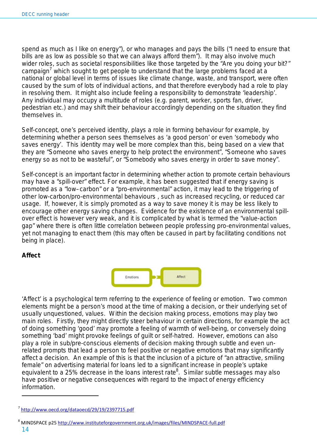*spend as much as I like on energy"*), or who manages and pays the bills (*"I need to ensure that bills are as low as possible so that we can always afford them"*). It may also involve much wider roles, such as societal responsibilities like those targeted by the "Are you doing your bit?" campaign<sup>7</sup> which sought to get people to understand that the large problems faced at a national or global level in terms of issues like climate change, waste, and transport, were often caused by the sum of lots of individual actions, and that therefore everybody had a role to play in resolving them. It might also include feeling a responsibility to demonstrate 'leadership'. Any individual may occupy a multitude of roles (e.g. parent, worker, sports fan, driver, pedestrian etc.) and may shift their behaviour accordingly depending on the situation they find themselves in.

Self-concept, one's perceived identity, plays a role in forming behaviour for example, by determining whether a person sees themselves as 'a good person' or even 'somebody who saves energy'. This identity may well be more complex than this, being based on a view that they are "Someone who saves energy to help protect the environment", "Someone who saves energy so as not to be wasteful", or "Somebody who saves energy in order to save money".

Self-concept is an important factor in determining whether action to promote certain behaviours may have a "spill-over" effect. For example, it has been suggested that if energy saving is promoted as a "low–carbon" or a "pro-environmental" action, it may lead to the triggering of other low-carbon/pro-environmental behaviours , such as increased recycling, or reduced car usage. If, however, it is simply promoted as a way to save money it is may be less likely to encourage other energy saving changes. Evidence for the existence of an environmental spillover effect is however very weak, and it is complicated by what is termed the "value-action gap" where there is often little correlation between people professing pro-environmental values, yet not managing to enact them (this may often be caused in part by facilitating conditions not being in place).

### **Affect**



'Affect' is a psychological term referring to the experience of feeling or emotion. Two common elements might be a person's mood at the time of making a decision, or their underlying set of usually unquestioned, values. Within the decision making process, emotions may play two main roles. Firstly, they might directly steer behaviour in certain directions, for example the act of doing something 'good' may promote a feeling of warmth of well-being, or conversely doing something 'bad' might provoke feelings of guilt or self-hatred. However, emotions can also play a role in sub/pre-conscious elements of decision making through subtle and even unrelated prompts that lead a person to feel positive or negative emotions that may significantly affect a decision. An example of this is that the inclusion of a picture of "an attractive, smiling female" on advertising material for loans led to a significant increase in people's uptake equivalent to a 25% decrease in the loans interest rate<sup>8</sup>. Similar subtle messages may also have positive or negative consequences with regard to the impact of energy efficiency information.

<sup>7</sup> <http://www.oecd.org/dataoecd/29/19/2397715.pdf>

<sup>8</sup> MINDSPACE p25<http://www.instituteforgovernment.org.uk/images/files/MINDSPACE-full.pdf>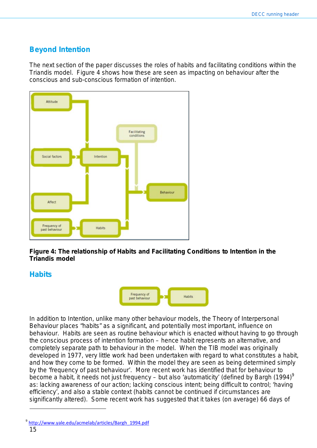# <span id="page-14-0"></span>**Beyond Intention**

The next section of the paper discusses the roles of habits and facilitating conditions within the Triandis model. [Figure 4](#page-14-2) shows how these are seen as impacting on behaviour after the conscious and sub-conscious formation of intention.



<span id="page-14-2"></span>**Figure 4: The relationship of Habits and Facilitating Conditions to Intention in the Triandis model**

# <span id="page-14-1"></span>**Habits**



In addition to Intention, unlike many other behaviour models, the Theory of Interpersonal Behaviour places "habits" as a significant, and potentially most important, influence on behaviour. Habits are seen as routine behaviour which is enacted without having to go through the conscious process of intention formation – hence habit represents an alternative, and completely separate path to behaviour in the model. When the TIB model was originally developed in 1977, very little work had been undertaken with regard to what constitutes a habit, and how they come to be formed. Within the model they are seen as being determined simply by the 'frequency of past behaviour'. More recent work has identified that for behaviour to become a habit, it needs not just frequency – but also 'automaticity' (defined by Bargh (1994)<sup>9</sup> as: lacking awareness of our action; lacking conscious intent; being difficult to control; 'having efficiency', and also a stable context (habits cannot be continued if circumstances are significantly altered). Some recent work has suggested that it takes (on average) 66 days of

<sup>9</sup> [http://www.yale.edu/acmelab/articles/Bargh\\_1994.pdf](http://www.yale.edu/acmelab/articles/Bargh_1994.pdf)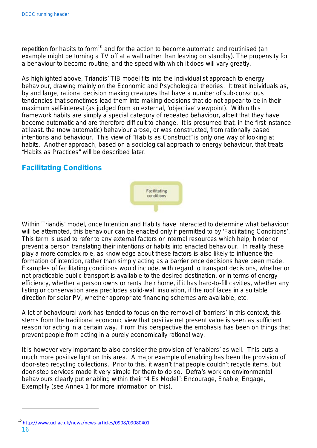repetition for habits to form<sup>10</sup> and for the action to become automatic and routinised (an example might be turning a TV off at a wall rather than leaving on standby). The propensity for a behaviour to become routine, and the speed with which it does will vary greatly.

As highlighted above, Triandis' TIB model fits into the Individualist approach to energy behaviour, drawing mainly on the Economic and Psychological theories. It treat individuals as, by and large, rational decision making creatures that have a number of sub-conscious tendencies that sometimes lead them into making decisions that do not appear to be in their maximum self-interest (as judged from an external, 'objective' viewpoint). Within this framework habits are simply a special category of repeated behaviour, albeit that they have become automatic and are therefore difficult to change. It is presumed that, in the first instance at least, the (now automatic) behaviour arose, or was constructed, from rationally based intentions and behaviour. This view of "Habits as Construct" is only one way of looking at habits. Another approach, based on a sociological approach to energy behaviour, that treats "Habits as Practices" will be described later.

# <span id="page-15-0"></span>**Facilitating Conditions**

Within Triandis' model, once Intention and Habits have interacted to determine what behaviour will be attempted, this behaviour can be enacted only if permitted to by 'Facilitating Conditions'. This term is used to refer to any external factors or internal resources which help, hinder or prevent a person translating their intentions or habits into enacted behaviour. In reality these play a more complex role, as knowledge about these factors is also likely to influence the formation of intention, rather than simply acting as a barrier once decisions have been made. Examples of facilitating conditions would include, with regard to transport decisions, whether or not practicable public transport is available to the desired destination, or in terms of energy efficiency, whether a person owns or rents their home, if it has hard-to-fill cavities, whether any listing or conservation area precludes solid-wall insulation, if the roof faces in a suitable direction for solar PV, whether appropriate financing schemes are available, etc.

Facilitating conditions

A lot of behavioural work has tended to focus on the removal of 'barriers' in this context, this stems from the traditional economic view that positive net present value is seen as sufficient reason for acting in a certain way. From this perspective the emphasis has been on things that prevent people from acting in a purely economically rational way.

It is however very important to also consider the provision of 'enablers' as well. This puts a much more positive light on this area. A major example of enabling has been the provision of door-step recycling collections. Prior to this, it wasn't that people couldn't recycle items, but door-step services made it very simple for them to do so. Defra's work on environmental behaviours clearly put enabling within their "4 Es Model": Encourage, Enable, Engage, Exemplify (see Annex 1 for more information on this).

<span id="page-15-1"></span><sup>16</sup> <sup>10</sup> <http://www.ucl.ac.uk/news/news-articles/0908/09080401>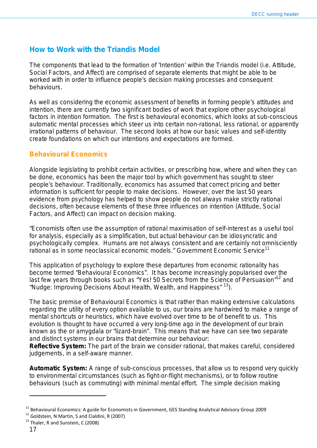# **How to Work with the Triandis Model**

The components that lead to the formation of 'Intention' within the Triandis model (i.e. Attitude, Social Factors, and Affect) are comprised of separate elements that might be able to be worked with in order to influence people's decision making processes and consequent behaviours.

As well as considering the economic assessment of benefits in forming people's attitudes and intention, there are currently two significant bodies of work that explore other psychological factors in intention formation. The first is behavioural economics, which looks at sub-conscious automatic mental processes which steer us into certain non-rational, less rational, or apparently irrational patterns of behaviour. The second looks at how our basic values and self-identity create foundations on which our intentions and expectations are formed.

## <span id="page-16-0"></span>**Behavioural Economics**

Alongside legislating to prohibit certain activities, or prescribing how, where and when they can be done, economics has been the major tool by which government has sought to steer people's behaviour. Traditionally, economics has assumed that correct pricing and better information is sufficient for people to make decisions. However, over the last 50 years evidence from psychology has helped to show people do not always make strictly rational decisions, often because elements of these three influences on intention (Attitude, Social Factors, and Affect) can impact on decision making.

*"Economists often use the assumption of rational maximisation of self-interest as a useful tool for analysis, especially as a simplification, but actual behaviour can be idiosyncratic and psychologically complex. Humans are not always consistent and are certainly not omnisciently rational as in some neoclassical economic models." Government Economic Service<sup>11</sup>*

This application of psychology to explore these departures from economic rationality has become termed "Behavioural Economics". It has become increasingly popularised over the last few years through books such as "Yes! 50 Secrets from the Science of Persuasion"<sup>12</sup> and "Nudge: Improving Decisions About Health, Wealth, and Happiness" <sup>13</sup>).

The basic premise of Behavioural Economics is that rather than making extensive calculations regarding the utility of every option available to us, our brains are hardwired to make a range of mental shortcuts or *heuristics*, which have evolved over time to be of benefit to us. This evolution is thought to have occurred a very long-time ago in the development of our brain known as the or *amygdala* or "lizard-brain". This means that we have can see two separate and distinct systems in our brains that determine our behaviour:

**Reflective System:** The part of the brain we consider rational, that makes careful, considered judgements, in a self-aware manner.

**Automatic System:** A range of sub-conscious processes, that allow us to respond very quickly to environmental circumstances (such as fight-or-flight mechanisms), or to follow routine behaviours (such as commuting) with minimal mental effort. The simple decision making

<sup>&</sup>lt;sup>11</sup> Behavioural Economics: A guide for Economists in Government, GES Standing Analytical Advisory Group 2009

 $12$  Goldstein, N Martin, S and Cialdini, R (2007)

<sup>&</sup>lt;sup>13</sup> Thaler, R and Sunstein, C (2008)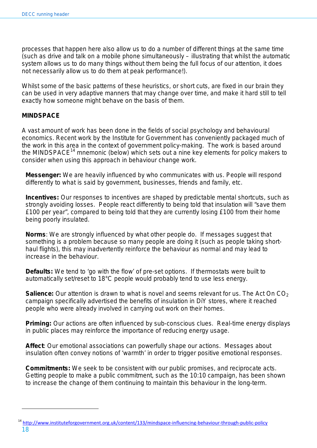processes that happen here also allow us to do a number of different things at the same time (such as drive and talk on a mobile phone simultaneously – illustrating that whilst the automatic system allows us to do many things without them being the full focus of our attention, it does not necessarily allow us to do them at peak performance!).

Whilst some of the basic patterns of these *heuristics,* or short cuts, are fixed in our brain they can be used in very adaptive manners that may change over time, and make it hard still to tell exactly how someone might behave on the basis of them.

#### **MINDSPACE**

A vast amount of work has been done in the fields of social psychology and behavioural economics. Recent work by the Institute for Government has conveniently packaged much of the work in this area in the context of government policy-making. The work is based around the MINDSPACE<sup>14</sup> mnemonic (below) which sets out a nine key elements for policy makers to consider when using this approach in behaviour change work.

**Messenger:** We are heavily influenced by who communicates with us. People will respond differently to what is said by government, businesses, friends and family, etc.

**Incentives:** Our responses to incentives are shaped by predictable mental shortcuts, such as strongly avoiding losses. People react differently to being told that insulation will "save them £100 per year", compared to being told that they are currently losing £100 from their home being poorly insulated.

**Norms**: We are strongly influenced by what other people do. If messages suggest that something is a problem because so many people are doing it (such as people taking shorthaul flights), this may inadvertently reinforce the behaviour as normal and may lead to increase in the behaviour.

**Defaults:** We tend to 'go with the flow' of pre-set options. If thermostats were built to automatically set/reset to 18°C people would probably tend to use less energy.

**Salience:** Our attention is drawn to what is novel and seems relevant for us. The Act On CO<sub>2</sub> campaign specifically advertised the benefits of insulation in DiY stores, where it reached people who were already involved in carrying out work on their homes.

**Priming:** Our actions are often influenced by sub-conscious clues. Real-time energy displays in public places may reinforce the importance of reducing energy usage.

**Affect**: Our emotional associations can powerfully shape our actions. Messages about insulation often convey notions of 'warmth' in order to trigger positive emotional responses.

**Commitments:** We seek to be consistent with our public promises, and reciprocate acts. Getting people to make a public commitment, such as the 10:10 campaign, has been shown to increase the change of them continuing to maintain this behaviour in the long-term.

<sup>14</sup> <http://www.instituteforgovernment.org.uk/content/133/mindspace-influencing-behaviour-through-public-policy>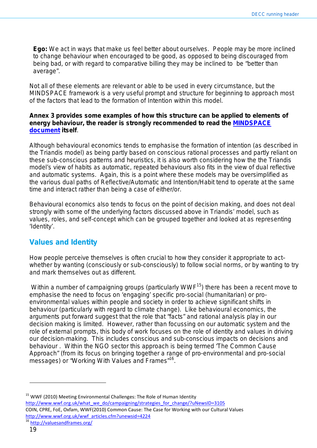**Ego:** We act in ways that make us feel better about ourselves. People may be more inclined to change behaviour when encouraged to be good, as opposed to being discouraged from being bad, or with regard to comparative billing they may be inclined to be "better than average".

Not all of these elements are relevant or able to be used in every circumstance, but the MINDSPACE framework is a very useful prompt and structure for beginning to approach most of the factors that lead to the formation of *Intention* within this model.

#### **Annex 3 provides some examples of how this structure can be applied to elements of energy behaviour, the reader is strongly recommended to read the [MINDSPACE](http://www.instituteforgovernment.org.uk/content/133/mindspace-influencing-behaviour-through-public-policy)  [document](http://www.instituteforgovernment.org.uk/content/133/mindspace-influencing-behaviour-through-public-policy) itself**.

Although behavioural economics tends to emphasise the formation of intention (as described in the Triandis model) as being partly based on conscious rational processes and partly reliant on these sub-conscious patterns and heuristics, it is also worth considering how the the Triandis model's view of habits as automatic, repeated behaviours also fits in the view of dual reflective and automatic systems. Again, this is a point where these models may be oversimplified as the various dual paths of Reflective/Automatic and Intention/Habit tend to operate at the same time and interact rather than being a case of either/or.

Behavioural economics also tends to focus on the point of decision making, and does not deal strongly with some of the underlying factors discussed above in Triandis' model, such as values, roles, and self-concept which can be grouped together and looked at as representing 'Identity'.

# <span id="page-18-0"></span>**Values and Identity**

How people perceive themselves is often crucial to how they consider it appropriate to act– whether by wanting (consciously or sub-consciously) to follow social norms, or by wanting to try and mark themselves out as different.

Within a number of campaigning groups (particularly WWF<sup>15</sup>) there has been a recent move to emphasise the need to focus on 'engaging' specific pro-social (humanitarian) or proenvironmental values within people and society in order to achieve significant shifts in behaviour (particularly with regard to climate change). Like behavioural economics, the arguments put forward suggest that the role that "facts" and rational analysis play in our decision making is limited. However, rather than focussing on our automatic system and the role of external prompts, this body of work focuses on the role of identity and values in driving our decision-making. This includes conscious and sub-conscious impacts on decisions and behaviour . Within the NGO sector this approach is being termed 'The Common Cause Approach" (from its focus on bringing together a range of pro-environmental and pro-social messages) or "Working With Values and Frames"<sup>16</sup>.

<sup>&</sup>lt;sup>15</sup> WWF (2010) Meeting Environmental Challenges: The Role of Human Identity [http://www.wwf.org.uk/what\\_we\\_do/campaigning/strategies\\_for\\_change/?uNewsID=3105](http://www.wwf.org.uk/what_we_do/campaigning/strategies_for_change/?uNewsID=3105) COIN, CPRE, FoE, Oxfam, WWF(2010) Common Cause: The Case for Working with our Cultural Values [http://www.wwf.org.uk/wwf\\_articles.cfm?unewsid=4224](http://www.wwf.org.uk/wwf_articles.cfm?unewsid=4224)

<http://valuesandframes.org/>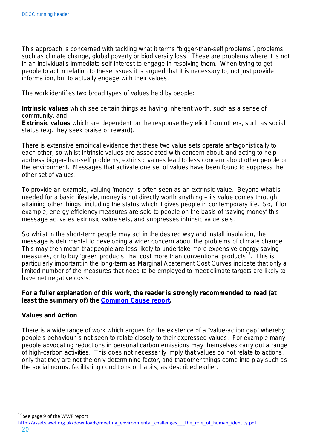This approach is concerned with tackling what it terms "bigger-than-self problems", problems such as climate change, global poverty or biodiversity loss. These are problems where it is not in an individual's immediate self-interest to engage in resolving them. When trying to get people to act in relation to these issues it is argued that it is necessary to, not just provide information, but to actually engage with their values.

The work identifies two broad types of values held by people:

**Intrinsic values** which see certain things as having inherent worth, such as a sense of community, and

**Extrinsic values** which are dependent on the response they elicit from others, such as social status (e.g. they seek praise or reward).

There is extensive empirical evidence that these two value sets operate antagonistically to each other, so whilst intrinsic values are associated with concern about, and acting to help address bigger-than-self problems, extrinsic values lead to less concern about other people or the environment. Messages that activate one set of values have been found to suppress the other set of values.

To provide an example, valuing 'money' is often seen as an extrinsic value. Beyond what is needed for a basic lifestyle, money is not directly worth anything – its value comes through attaining other things, including the status which it gives people in contemporary life. So, if for example, energy efficiency measures are sold to people on the basis of 'saving money' this message activates extrinsic value sets, and suppresses intrinsic value sets.

So whilst in the short-term people may act in the desired way and install insulation, the message is detrimental to developing a wider concern about the problems of climate change. This may then mean that people are less likely to undertake more expensive energy saving measures, or to buy 'green products' that cost more than conventional products<sup>17</sup>. This is particularly important in the long-term as Marginal Abatement Cost Curves indicate that only a limited number of the measures that need to be employed to meet climate targets are likely to have net negative costs.

#### **For a fuller explanation of this work, the reader is strongly recommended to read (at least the summary of) the [Common Cause report.](http://www.wwf.org.uk/wwf_articles.cfm?unewsid=4224)**

#### **Values and Action**

There is a wide range of work which argues for the existence of a "value-action gap" whereby people's behaviour is not seen to relate closely to their expressed values. For example many people advocating reductions in personal carbon emissions may themselves carry out a range of high-carbon activities. This does not necessarily imply that values do not relate to actions, only that they are not the only determining factor, and that other things come into play such as the social norms, facilitating conditions or habits, as described earlier.

 $17$  See page 9 of the WWF report

[http://assets.wwf.org.uk/downloads/meeting\\_environmental\\_challenges\\_\\_\\_the\\_role\\_of\\_human\\_identity.pdf](http://assets.wwf.org.uk/downloads/meeting_environmental_challenges___the_role_of_human_identity.pdf)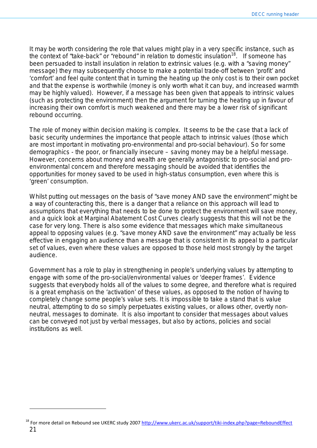It may be worth considering the role that values might play in a very specific instance, such as the context of "take-back" or "rebound" in relation to domestic insulation<sup>18</sup>. If someone has been persuaded to install insulation in relation to extrinsic values (e.g. with a "saving money" message) they *may* subsequently choose to make a potential trade-off between 'profit' and 'comfort' and feel quite content that in turning the heating up the only cost is to their own pocket and that the expense is worthwhile (money is only worth what it can buy, and increased warmth may be highly valued). However, if a message has been given that appeals to intrinsic values (such as protecting the environment) then the argument for turning the heating up in favour of increasing their own comfort is much weakened and there *may* be a lower risk of significant rebound occurring.

The role of money within decision making is complex. It seems to be the case that a lack of basic security undermines the importance that people attach to intrinsic values (those which are most important in motivating pro-environmental and pro-social behaviour). So for some demographics - the poor, or financially insecure – saving money may be a helpful message. However, concerns about money and wealth are generally antagonistic to pro-social and proenvironmental concern and therefore messaging should be avoided that identifies the opportunities for money saved to be used in high-status consumption, even where this is 'green' consumption.

Whilst putting out messages on the basis of "save money AND save the environment" might be a way of counteracting this, there is a danger that a reliance on this approach will lead to assumptions that everything that needs to be done to protect the environment will save money, and a quick look at Marginal Abatement Cost Curves clearly suggests that this will not be the case for very long. There is also some evidence that messages which make simultaneous appeal to opposing values (e.g. "save money AND save the environment" may actually be *less* effective in engaging an audience than a message that is consistent in its appeal to a particular set of values, *even where these values are opposed to those held most strongly by the target audience*.

Government has a role to play in strengthening in people's underlying values by attempting to engage with some of the pro-social/environmental values or 'deeper frames'. Evidence suggests that everybody holds all of the values to some degree, and therefore what is required is a great emphasis on the 'activation' of these values, as opposed to the notion of having to completely *change* some people's value sets. It is impossible to take a stand that is value neutral, attempting to do so simply perpetuates existing values, or allows other, overtly nonneutral, messages to dominate. It is also important to consider that messages about values can be conveyed not just by verbal messages, but also by actions, policies and social institutions as well.

<sup>21</sup> <sup>18</sup> For more detail on Rebound see UKERC study 2007<http://www.ukerc.ac.uk/support/tiki-index.php?page=ReboundEffect>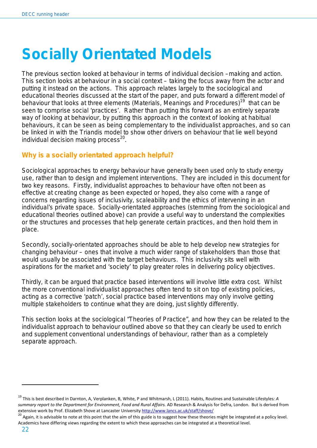# <span id="page-21-0"></span>**Socially Orientated Models**

The previous section looked at behaviour in terms of individual decision –making and action. This section looks at behaviour in a social context – taking the focus away from the *actor* and putting it instead on the *actions*. This approach relates largely to the sociological and educational theories discussed at the start of the paper, and puts forward a different model of behaviour that looks at three elements (Materials, Meanings and Procedures)<sup>19</sup> that can be seen to comprise social 'practices'. Rather than putting this forward as an entirely separate way of looking at behaviour, by putting this approach in the context of looking at habitual behaviours, it can be seen as being complementary to the individualist approaches, and so can be linked in with the Triandis model to show other drivers on behaviour that lie well beyond individual decision making process $^{20}$ .

# <span id="page-21-1"></span>**Why is a socially orientated approach helpful?**

Sociological approaches to energy behaviour have generally been used only to *study* energy use, rather than to design and implement interventions. They are included in this document for two key reasons. Firstly, individualist approaches to behaviour have often not been as effective at creating change as been expected or hoped, they also come with a range of concerns regarding issues of inclusivity, scaleability and the ethics of intervening in an individual's private space. Socially-orientated approaches (stemming from the sociological and educational theories outlined above) can provide a useful way to understand the complexities or the structures and processes that help generate certain practices, and then hold them in place.

Secondly, socially-orientated approaches should be able to help develop new strategies for changing behaviour – ones that involve a much wider range of stakeholders than those that would usually be associated with the target behaviours. This inclusivity sits well with aspirations for the market and 'society' to play greater roles in delivering policy objectives.

Thirdly, it can be argued that practice based interventions will involve little extra cost. Whilst the more conventional individualist approaches often tend to sit on top of existing policies, acting as a corrective 'patch', social practice based interventions may only involve getting multiple stakeholders to continue what they are doing, just slightly differently.

<span id="page-21-2"></span>This section looks at the sociological "Theories of Practice", and how they can be related to the individualist approach to behaviour outlined above so that they can clearly be used to enrich and supplement conventional understandings of behaviour, rather than as a completely separate approach.

l

<sup>19</sup> This is best described in Darnton, A, Verplanken, B, White, P and Whitmarsh, L (2011). Habits, Routines and Sustainable Lifestyles*: A summary report to the Department for Environment, Food and Rural Affairs.* AD Research & Analysis for Defra, London. But is derived from extensive work by Prof. Elizabeth Shove at Lancaster Universit[y http://www.lancs.ac.uk/staff/shove/](http://www.lancs.ac.uk/staff/shove/)<br><sup>20</sup> Again, it is advisable to note at this point that the aim of this guide is to suggest how these theories might be int

Academics have differing views regarding the extent to which these approaches can be integrated at a theoretical level.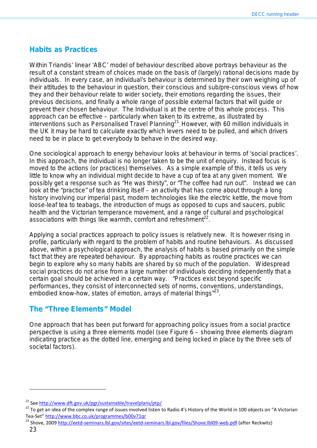# **Habits as Practices**

Within Triandis' linear 'ABC' model of behaviour described above portrays behaviour as the result of a constant stream of choices made on the basis of (largely) rational decisions made by individuals. In every case, an individual's behaviour is determined by their own weighing up of their attitudes to the behaviour in question, their conscious and sub/pre-conscious views of how they and their behaviour relate to wider society, their emotions regarding the issues, their previous decisions, and finally a whole range of possible external factors that will guide or prevent their chosen behaviour. The Individual is at the centre of this whole process. This approach can be effective – particularly when taken to its extreme, as illustrated by interventions such as Personalised Travel Planning<sup>21</sup>. However, with 60 million individuals in the UK it may be hard to calculate exactly which levers need to be pulled, and which drivers need to be in place to get everybody to behave in the desired way.

One sociological approach to energy behaviour looks at behaviour in terms of 'social practices'. In this approach, *the individual is no longer taken to be the unit of enquiry*. Instead focus is moved to the actions (or practices) themselves. As a simple example of this, it tells us very little to know why an individual might decide to have a cup of tea at any given moment. We possibly get a response such as "He was thirsty", or "The coffee had run out". Instead we can look at the "practice" of tea drinking itself – an activity that has come about through a long history involving our imperial past, modern technologies like the electric kettle, the move from loose-leaf tea to teabags, the introduction of mugs as opposed to cups and saucers, public health and the Victorian temperance movement, and a range of cultural and psychological associations with things like warmth, comfort and refreshment<sup>22</sup>.

Applying a social practices approach to policy issues is relatively new. It is however rising in profile, particularly with regard to the problem of habits and routine behaviours. As discussed above, within a psychological approach, the analysis of habits is based primarily on the simple fact that they are repeated behaviour. By approaching habits as routine practices we can begin to explore why so many habits are shared by so much of the population. Widespread social practices do not arise from a large number of individuals deciding independently that a certain goal should be achieved in a certain way. *"Practices exist beyond specific performances, they consist of interconnected sets of norms, conventions, understandings, embodied know-how, states of emotion, arrays of material thing*s"23.

# <span id="page-22-0"></span>**The "Three Elements" Model**

One approach that has been put forward for approaching policy issues from a social practice perspective is using a three elements model (see [Figure 6](#page-26-0) – showing three elements diagram indicating practice as the dotted line, emerging and being locked in place by the three sets of societal factors).

<sup>&</sup>lt;sup>21</sup> See<http://www.dft.gov.uk/pgr/sustainable/travelplans/ptp/>

<sup>&</sup>lt;sup>22</sup> To get an idea of the complex range of issues involved listen to Radio 4's History of the World in 100 objects on "A Victorian Tea-Set"<http://www.bbc.co.uk/programmes/b00v71qr>

<sup>&</sup>lt;sup>23</sup> Shove, 2009<http://eetd-seminars.lbl.gov/sites/eetd-seminars.lbl.gov/files/Shove.lbl09-web.pdf> (after Reckwitz)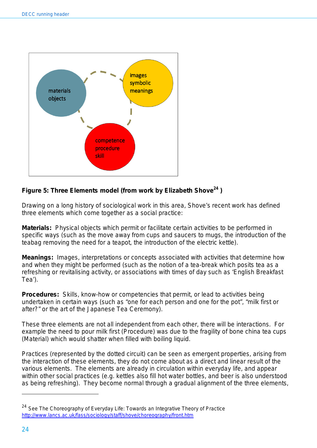

# **Figure 5: Three Elements model (from work by Elizabeth Shove<sup>24</sup> )**

Drawing on a long history of sociological work in this area, Shove's recent work has defined three elements which come together as a social practice:

**Materials:** Physical objects which permit or facilitate certain activities to be performed in specific ways (such as the move away from cups and saucers to mugs, the introduction of the teabag removing the need for a teapot, the introduction of the electric kettle).

**Meanings:** Images, interpretations or concepts associated with activities that determine how and when they might be performed (such as the notion of a tea-break which posits tea as a refreshing or revitalising activity, or associations with times of day such as 'English Breakfast Tea').

**Procedures:** Skills, know-how or competencies that permit, or lead to activities being undertaken in certain ways (such as "one for each person and one for the pot", "milk first or after?" or the art of the Japanese Tea Ceremony).

These three elements are not all independent from each other, there will be interactions. For example the need to pour milk first (Procedure) was due to the fragility of bone china tea cups (Material) which would shatter when filled with boiling liquid.

Practices (represented by the dotted circuit) can be seen as *emergent properties*, arising from the interaction of these elements, they do not come about as a direct and linear result of the various elements. The elements are already in circulation within everyday life, and appear within other social practices (e.g. kettles also fill hot water bottles, and beer is also understood as being refreshing). They become normal through a gradual alignment of the three elements,

 $24$  See The Choreography of Everyday Life: Towards an Integrative Theory of Practice <http://www.lancs.ac.uk/fass/sociology/staff/shove/choreography/front.htm>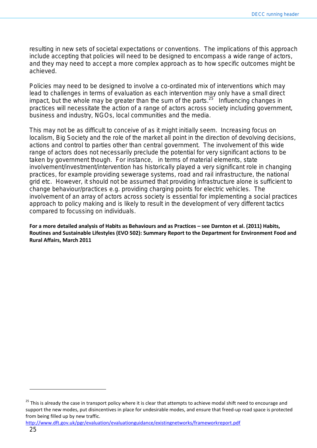resulting in new sets of societal expectations or conventions. The implications of this approach include accepting that policies will need to be designed to encompass a wide range of actors, and they may need to accept a more complex approach as to how specific outcomes might be achieved.

Policies may need to be designed to involve a co-ordinated mix of interventions which may lead to challenges in terms of evaluation as each intervention may only have a small direct impact, but the whole may be greater than the sum of the parts.<sup>25</sup> Influencing changes in practices will necessitate the action of a range of actors across society including government, business and industry, NGOs, local communities and the media.

This may not be as difficult to conceive of as it might initially seem. Increasing focus on localism, Big Society and the role of the market all point in the direction of devolving decisions, actions and control to parties other than central government. The involvement of this wide range of actors does not necessarily preclude the potential for very significant actions to be taken by government though. For instance, in terms of material elements, state involvement/investment/intervention has historically played a very significant role in changing practices, for example providing sewerage systems, road and rail infrastructure, the national grid etc. However, it should not be assumed that providing infrastructure alone is sufficient to change behaviour/practices e.g. providing charging points for electric vehicles. The involvement of an array of actors across society is essential for implementing a social practices approach to policy making and is likely to result in the development of very different tactics compared to focussing on individuals.

**For a more detailed analysis of Habits as Behaviours and as Practices – see Darnton et al. (2011) Habits, Routines and Sustainable Lifestyles (EVO 502): Summary Report to the Department for Environment Food and Rural Affairs, March 2011**

<sup>&</sup>lt;sup>25</sup> This is already the case in transport policy where it is clear that attempts to achieve modal shift need to encourage and support the new modes, put disincentives in place for undesirable modes, and ensure that freed-up road space is protected from being filled up by new traffic.

<http://www.dft.gov.uk/pgr/evaluation/evaluationguidance/existingnetworks/frameworkreport.pdf>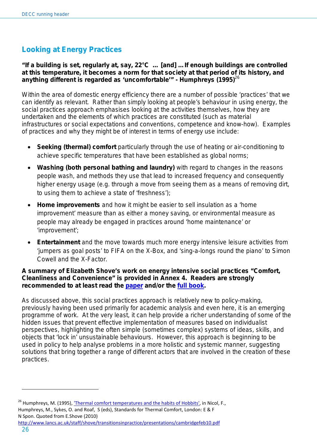# <span id="page-25-0"></span>**Looking at Energy Practices**

#### **"If a building is set, regularly at, say, 22°C … [and] …If enough buildings are controlled at this temperature, it becomes a norm for that society at that period of its history, and anything different is regarded as 'uncomfortable'" - Humphreys (1995)**<sup>26</sup>

Within the area of domestic energy efficiency there are a number of possible 'practices' that we can identify as relevant. Rather than simply looking at people's behaviour in using energy, the social practices approach emphasises looking at the activities themselves, how they are undertaken and the elements of which practices are constituted (such as material infrastructures or social expectations and conventions, competence and know-how). Examples of practices and why they might be of interest in terms of energy use include:

- **Seeking (thermal) comfort** particularly through the use of heating or air-conditioning to achieve specific temperatures that have been established as global norms;
- **Washing (both personal bathing and laundry)** with regard to changes in the reasons people wash, and methods they use that lead to increased frequency and consequently higher energy usage (e.g. through a move from seeing them as a means of removing dirt, to using them to achieve a state of 'freshness');
- **Home improvements** and how it might be easier to sell insulation as a 'home improvement' measure than as either a money saving, or environmental measure as people may already be engaged in practices around 'home maintenance' or 'improvement';
- **Entertainment** and the move towards much more energy intensive leisure activities from 'jumpers as goal posts' to FIFA on the X-Box, and 'sing-a-longs round the piano' to Simon Cowell and the X-Factor.

#### **A summary of Elizabeth Shove's work on energy intensive social practices "Comfort, Cleanliness and Convenience" is provided in Annex 4. Readers are strongly recommended to at least read the [paper](http://www.lancs.ac.uk/fass/sociology/papers/shove-converging-conventions.pdf) and/or the [full book.](http://www.bergpublishers.com/?tabid=1097)**

As discussed above, this social practices approach is relatively new to policy-making, previously having been used primarily for academic analysis and even here, it is an emerging programme of work. At the very least, it can help provide a richer understanding of some of the hidden issues that prevent effective implementation of measures based on individualist perspectives, highlighting the often simple (sometimes complex) systems of ideas, skills, and objects that 'lock in' unsustainable behaviours. However, this approach is beginning to be used in policy to help analyse problems in a more holistic and systemic manner, suggesting solutions that bring together a range of different actors that are involved in the creation of these practices.

N Spon. Quoted from E.Shove (2010)

<sup>&</sup>lt;sup>26</sup> Humphreys, M. (1995), ['Thermal comfort temperatures and the habits of Hobbits',](http://books.google.co.uk/books?id=fxXS85SQqHcC&pg=PA3&lpg=PA3&dq=) in Nicol, F., Humphreys, M., Sykes, O. and Roaf, S (eds), Standards for Thermal Comfort, London: E & F

<http://www.lancs.ac.uk/staff/shove/transitionsinpractice/presentations/cambridgefeb10.pdf>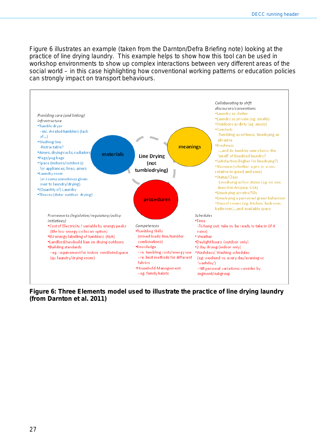[Figure 6](#page-26-0) illustrates an example (taken from the Darnton/Defra Briefing note) looking at the practice of line drying laundry. This example helps to show how this tool can be used in workshop environments to show up complex interactions between very different areas of the social world – in this case highlighting how conventional working patterns or education policies can strongly impact on transport behaviours.



<span id="page-26-0"></span>**Figure 6: Three Elements model used to illustrate the practice of line drying laundry (from Darnton et al. 2011)**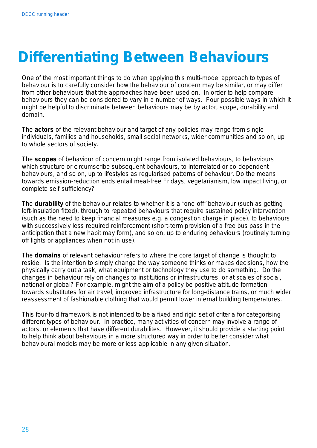# <span id="page-27-0"></span>**Differentiating Between Behaviours**

One of the most important things to do when applying this multi-model approach to types of behaviour is to carefully consider how the behaviour of concern may be similar, or may differ from other behaviours that the approaches have been used on. In order to help compare behaviours they can be considered to vary in a number of ways. Four possible ways in which it might be helpful to discriminate between behaviours may be by actor, scope, durability and domain.

The *actors* of the relevant behaviour and target of any policies may range from single individuals, families and households, small social networks, wider communities and so on, up to whole sectors of society.

The *scopes* of behaviour of concern might range from isolated behaviours, to behaviours which structure or circumscribe subsequent behaviours, to interrelated or co-dependent behaviours, and so on, up to lifestyles as regularised patterns of behaviour. Do the means towards emission-reduction ends entail meat-free Fridays, vegetarianism, low impact living, or complete self-sufficiency?

The *durability* of the behaviour relates to whether it is a "one-off" behaviour (such as getting loft-insulation fitted), through to repeated behaviours that require sustained policy intervention (such as the need to keep financial measures e.g. a congestion charge in place), to behaviours with successively less required reinforcement (short-term provision of a free bus pass in the anticipation that a new habit may form), and so on, up to enduring behaviours (routinely turning off lights or appliances when not in use).

The *domains* of relevant behaviour refers to where the core target of change is thought to reside. Is the intention to simply change the way someone thinks or makes decisions, how the physically carry out a task, what equipment or technology they use to do something. Do the changes in behaviour rely on changes to institutions or infrastructures, or at scales of social, national or global? For example, might the aim of a policy be positive attitude formation towards substitutes for air travel, improved infrastructure for long-distance trains, or much wider reassessment of fashionable clothing that would permit lower internal building temperatures.

<span id="page-27-1"></span>This four-fold framework is not intended to be a fixed and rigid set of criteria for categorising different types of behaviour. In practice, many activities of concern may involve a range of actors, or elements that have different durabilites. However, it should provide a starting point to help think about behaviours in a more structured way in order to better consider what behavioural models may be more or less applicable in any given situation.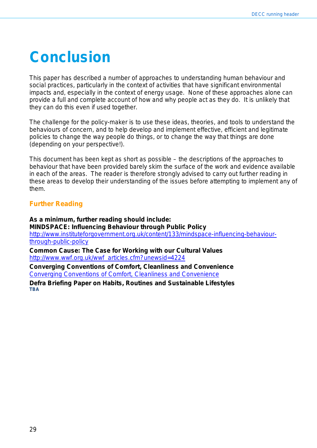# **Conclusion**

This paper has described a number of approaches to understanding human behaviour and social practices, particularly in the context of activities that have significant environmental impacts and, especially in the context of energy usage. None of these approaches alone can provide a full and complete account of how and why people act as they do. It is unlikely that they can do this even if used together.

The challenge for the policy-maker is to use these ideas, theories, and tools to understand the behaviours of concern, and to help develop and implement effective, efficient and legitimate policies to change the way people do things, or to change the way that things are done (depending on your perspective!).

This document has been kept as short as possible – the descriptions of the approaches to behaviour that have been provided barely skim the surface of the work and evidence available in each of the areas. The reader is therefore strongly advised to carry out further reading in these areas to develop their understanding of the issues before attempting to implement any of them.

## <span id="page-28-0"></span>**Further Reading**

**As a minimum, further reading should include: MINDSPACE: Influencing Behaviour through Public Policy** [http://www.instituteforgovernment.org.uk/content/133/mindspace-influencing-behaviour](http://www.instituteforgovernment.org.uk/content/133/mindspace-influencing-behaviour-through-public-policy)[through-public-policy](http://www.instituteforgovernment.org.uk/content/133/mindspace-influencing-behaviour-through-public-policy)

**Common Cause: The Case for Working with our Cultural Values** [http://www.wwf.org.uk/wwf\\_articles.cfm?unewsid=4224](http://www.wwf.org.uk/wwf_articles.cfm?unewsid=4224)

**Converging Conventions of Comfort, Cleanliness and Convenience** [Converging Conventions of Comfort, Cleanliness and Convenience](http://www.lancs.ac.uk/fass/sociology/papers/shove-converging-conventions.pdf)

**Defra Briefing Paper on Habits, Routines and Sustainable Lifestyles TBA**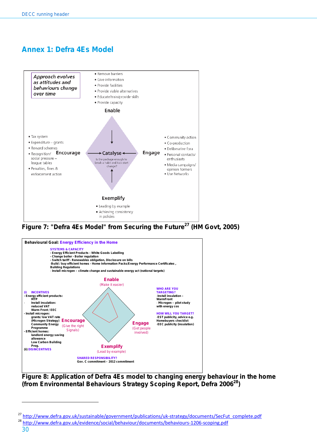# <span id="page-29-0"></span>**Annex 1: Defra 4Es Model**



**Figure 7: "Defra 4Es Model" from Securing the Future<sup>27</sup> (HM Govt, 2005)**



**Figure 8: Application of Defra 4Es model to changing energy behaviour in the home (from Environmental Behaviours Strategy Scoping Report, Defra 200628)**

<sup>&</sup>lt;sup>27</sup> [http://www.defra.gov.uk/sustainable/government/publications/uk-strategy/documents/SecFut\\_complete.pdf](http://www.defra.gov.uk/sustainable/government/publications/uk-strategy/documents/SecFut_complete.pdf)

<sup>28</sup> <http://www.defra.gov.uk/evidence/social/behaviour/documents/behaviours-1206-scoping.pdf>

<sup>30</sup>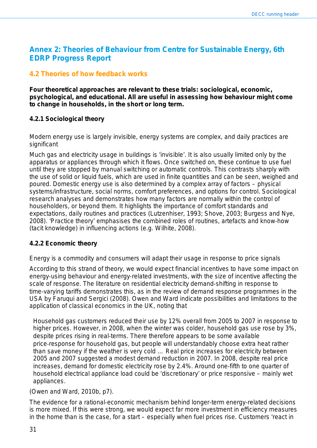# <span id="page-30-0"></span>**Annex 2: Theories of Behaviour from Centre for Sustainable Energy, 6th EDRP Progress Report**

# **4.2 Theories of how feedback works**

**Four theoretical approaches are relevant to these trials: sociological, economic, psychological, and educational. All are useful in assessing how behaviour might come to change in households, in the short or long term.** 

### **4.2.1 Sociological theory**

#### *Modern energy use is largely invisible, energy systems are complex, and daily practices are significant*

Much gas and electricity usage in buildings is 'invisible'. It is also usually limited only by the apparatus or appliances through which it flows. Once switched on, these continue to use fuel until they are stopped by manual switching or automatic controls. This contrasts sharply with the use of solid or liquid fuels, which are used in finite quantities and can be seen, weighed and poured. Domestic energy use is also determined by a complex array of factors – physical systems/infrastructure, social norms, comfort preferences, and options for control. Sociological research analyses and demonstrates how many factors are normally within the control of householders, or beyond them. It highlights the importance of comfort standards and expectations, daily routines and practices (Lutzenhiser, 1993; Shove, 2003; Burgess and Nye, 2008). 'Practice theory' emphasises the combined roles of routines, artefacts and know‐how (tacit knowledge) in influencing actions (e.g. Wilhite, 2008).

### **4.2.2 Economic theory**

### *Energy is a commodity and consumers will adapt their usage in response to price signals*

According to this strand of theory, we would expect financial incentives to have some impact on energy‐using behaviour and energy‐related investments, with the size of incentive affecting the scale of response. The literature on residential electricity demand‐shifting in response to time‐varying tariffs demonstrates this, as in the review of demand response programmes in the USA by Faruqui and Sergici (2008). Owen and Ward indicate possibilities and limitations to the application of classical economics in the UK, noting that

*Household gas customers reduced their use by 12% overall from 2005 to 2007 in response to higher prices. However, in 2008, when the winter was colder, household gas use rose by 3%, despite prices rising in real‐terms. There therefore appears to be some available price‐response for household gas, but people will understandably choose extra heat rather than save money if the weather is very cold … Real price increases for electricity between 2005 and 2007 suggested a modest demand reduction in 2007. In 2008, despite real price increases, demand for domestic electricity rose by 2.4%. Around one-fifth to one quarter of household electrical appliance load could be 'discretionary' or price responsive – mainly wet appliances.* 

(Owen and Ward, 2010b, p7).

The evidence for a rational‐economic mechanism behind longer‐term energy‐related decisions is more mixed. If this were strong, we would expect far more investment in efficiency measures in the home than is the case, for a start – especially when fuel prices rise. Customers 'react in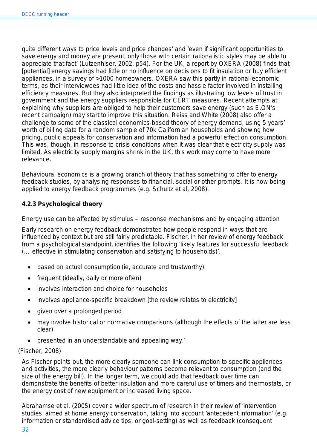quite different ways to price levels and price changes' and 'even if significant opportunities to save energy and money are present, only those with certain rationalistic styles may be able to appreciate that fact' (Lutzenhiser, 2002, p54). For the UK, a report by OXERA (2008) finds that [potential] energy savings had little or no influence on decisions to fit insulation or buy efficient appliances, in a survey of >1000 homeowners. OXERA saw this partly in rational‐economic terms, as their interviewees had little idea of the costs and hassle factor involved in installing efficiency measures. But they also interpreted the findings as illustrating low levels of trust in government and the energy suppliers responsible for CERT measures. Recent attempts at explaining why suppliers are obliged to help their customers save energy (such as E.ON's recent campaign) may start to improve this situation. Reiss and White (2008) also offer a challenge to some of the classical economics‐based theory of energy demand, using 5 years' worth of billing data for a random sample of 70k Californian households and showing how pricing, public appeals for conservation and information had a powerful effect on consumption. This was, though, in response to crisis conditions when it was clear that electricity supply was limited. As electricity supply margins shrink in the UK, this work may come to have more relevance.

Behavioural economics is a growing branch of theory that has something to offer to energy feedback studies, by analysing responses to financial, social or other prompts. It is now being applied to energy feedback programmes (e.g. Schultz et al, 2008).

## **4.2.3 Psychological theory**

#### *Energy use can be affected by stimulus – response mechanisms and by engaging attention*

Early research on energy feedback demonstrated how people respond in ways that are influenced by context but are still fairly predictable. Fischer, in her review of energy feedback from a psychological standpoint, identifies the following 'likely features for successful feedback (… effective in stimulating conservation and satisfying to households)'.

- based on actual consumption (ie, accurate and trustworthy)
- frequent (ideally, daily or more often)
- involves interaction and choice for households
- involves appliance-specific breakdown [the review relates to electricity]
- given over a prolonged period
- may involve historical or normative comparisons (although the effects of the latter are less clear)
- presented in an understandable and appealing way.'

#### (Fischer, 2008)

As Fischer points out, the more clearly someone can link consumption to specific appliances and activities, the more clearly behaviour patterns become relevant to consumption (and the size of the energy bill). In the longer term, we could add that feedback over time can demonstrate the benefits of better insulation and more careful use of timers and thermostats, or the energy cost of new equipment or increased living space.

32 Abrahamse et al. (2005) cover a wider spectrum of research in their review of 'intervention studies' aimed at home energy conservation, taking into account 'antecedent information' (e.g. information or standardised advice tips, or goal‐setting) as well as feedback (consequent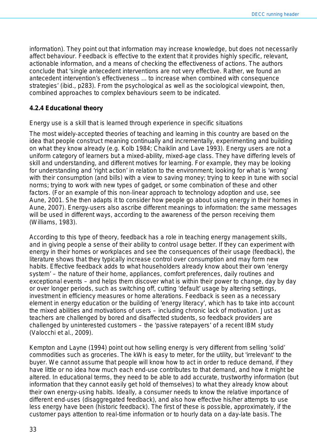information). They point out that information may increase knowledge, but does not necessarily affect behaviour. Feedback is effective to the extent that it provides highly specific, relevant, *actionable* information, and a means of checking the effectiveness of actions. The authors conclude that 'single antecedent interventions are not very effective. Rather, we found an antecedent intervention's effectiveness ... to increase when combined with consequence strategies' (ibid., p283). From the psychological as well as the sociological viewpoint, then, combined approaches to complex behaviours seem to be indicated.

#### **4.2.4 Educational theory**

#### *Energy use is a skill that is learned through experience in specific situations*

The most widely‐accepted theories of teaching and learning in this country are based on the idea that people *construct* meaning continually and incrementally, experimenting and building on what they know already (e.g. Kolb 1984; Chaiklin and Lave 1993). Energy users are not a uniform category of learners but a mixed‐ability, mixed‐age class. They have differing levels of skill and understanding, and different motives for learning. For example, they may be looking for understanding and 'right action' in relation to the environment; looking for what is 'wrong' with their consumption (and bills) with a view to saving money; trying to keep in tune with social norms; trying to work with new types of gadget, or some combination of these and other factors. (For an example of this non‐linear approach to technology adoption and use, see Aune, 2001. She then adapts it to consider how people go about using energy in their homes in Aune, 2007). Energy‐users also ascribe different *meanings* to information: the same messages will be used in different ways, according to the awareness of the person receiving them (Williams, 1983).

According to this type of theory, feedback has a role in teaching energy management skills, and in giving people a sense of their ability to control usage better. If they can experiment with energy in their homes or workplaces and see the consequences of their usage (feedback), the literature shows that they typically increase control over consumption and may form new habits. Effective feedback adds to what householders already know about their own 'energy system' – the nature of their home, appliances, comfort preferences, daily routines and exceptional events – and helps them discover what is within their power to change, day by day or over longer periods, such as switching off, cutting 'default' usage by altering settings, investment in efficiency measures or home alterations. Feedback is seen as a necessary element in energy education or the building of 'energy literacy', which has to take into account the mixed abilities and motivations of users – including chronic lack of motivation. Just as teachers are challenged by bored and disaffected students, so feedback providers are challenged by uninterested customers – the 'passive ratepayers' of a recent IBM study (Valocchi et al., 2009).

Kempton and Layne (1994) point out how selling energy is very different from selling 'solid' commodities such as groceries. The kWh is easy to meter, for the utility, but 'irrelevant' to the buyer. We cannot assume that people will know how to act in order to reduce demand, if they have little or no idea how much each end-use contributes to that demand, and how it might be altered. In educational terms, they need to be able to add accurate, trustworthy information (but information that they cannot easily get hold of themselves) to what they already know about their own energy‐using habits. Ideally, a consumer needs to know the relative importance of different end‐uses (disaggregated feedback), and also how effective his/her attempts to use less energy have been (historic feedback). The first of these is possible, approximately, if the customer pays attention to real‐time information or to hourly data on a day‐late basis. The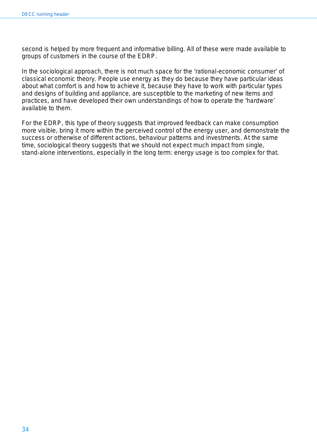second is helped by more frequent and informative billing. All of these were made available to groups of customers in the course of the EDRP.

In the sociological approach, there is not much space for the 'rational-economic consumer' of classical economic theory. People use energy as they do because they have particular ideas about what comfort is and how to achieve it, because they have to work with particular types and designs of building and appliance, are susceptible to the marketing of new items and practices, and have developed their own understandings of how to operate the 'hardware' available to them.

For the EDRP, this type of theory suggests that improved feedback can make consumption *more visible*, bring it more within the *perceived control* of the energy user, and *demonstrate the success* or otherwise of different actions, behaviour patterns and investments. At the same time, sociological theory suggests that we should not expect much impact from single, stand-alone interventions, especially in the long term: energy usage is too complex for that.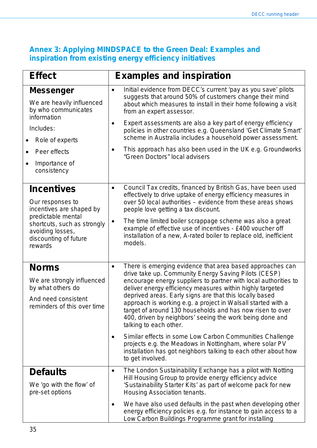# <span id="page-34-0"></span>**Annex 3: Applying MINDSPACE to the Green Deal: Examples and inspiration from existing energy efficiency initiatives**

| <b>Effect</b>                                                                                                                                                                  | <b>Examples and inspiration</b>                                                                                                                                                                                                                                                                                                                                                                                                                                                                                                                                                                                                                                                                                                                                |
|--------------------------------------------------------------------------------------------------------------------------------------------------------------------------------|----------------------------------------------------------------------------------------------------------------------------------------------------------------------------------------------------------------------------------------------------------------------------------------------------------------------------------------------------------------------------------------------------------------------------------------------------------------------------------------------------------------------------------------------------------------------------------------------------------------------------------------------------------------------------------------------------------------------------------------------------------------|
| <b>Messenger</b><br>We are heavily influenced<br>by who communicates<br>information<br>Includes:<br>Role of experts<br>Peer effects<br>Importance of<br>consistency            | Initial evidence from DECC's current 'pay as you save' pilots<br>$\bullet$<br>suggests that around 50% of customers change their mind<br>about which measures to install in their home following a visit<br>from an expert assessor.<br>Expert assessments are also a key part of energy efficiency<br>٠<br>policies in other countries e.g. Queensland 'Get Climate Smart'<br>scheme in Australia includes a household power assessment.<br>This approach has also been used in the UK e.g. Groundworks<br>$\bullet$<br>"Green Doctors" local advisers                                                                                                                                                                                                        |
| <b>Incentives</b><br>Our responses to<br>incentives are shaped by<br>predictable mental<br>shortcuts, such as strongly<br>avoiding losses,<br>discounting of future<br>rewards | Council Tax credits, financed by British Gas, have been used<br>$\bullet$<br>effectively to drive uptake of energy efficiency measures in<br>over 50 local authorities – evidence from these areas shows<br>people love getting a tax discount.<br>The time limited boiler scrappage scheme was also a great<br>$\bullet$<br>example of effective use of incentives - £400 voucher off<br>installation of a new, A-rated boiler to replace old, inefficient<br>models.                                                                                                                                                                                                                                                                                         |
| <b>Norms</b><br>We are strongly influenced<br>by what others do<br>And need consistent<br>reminders of this over time                                                          | There is emerging evidence that area based approaches can<br>$\bullet$<br>drive take up. Community Energy Saving Pilots (CESP)<br>encourage energy suppliers to partner with local authorities to<br>deliver energy efficiency measures within highly targeted<br>deprived areas. Early signs are that this locally based<br>approach is working e.g. a project in Walsall started with a<br>target of around 130 households and has now risen to over<br>400, driven by neighbors' seeing the work being done and<br>talking to each other.<br>Similar effects in some Low Carbon Communities Challenge<br>٠<br>projects e.g. the Meadows in Nottingham, where solar PV<br>installation has got neighbors talking to each other about how<br>to get involved. |
| <b>Defaults</b><br>We 'go with the flow' of<br>pre-set options                                                                                                                 | The London Sustainability Exchange has a pilot with Notting<br>٠<br>Hill Housing Group to provide energy efficiency advice<br>'Sustainability Starter Kits' as part of welcome pack for new<br>Housing Association tenants.<br>We have also used defaults in the past when developing other<br>٠<br>energy efficiency policies e.g. for instance to gain access to a<br>Low Carbon Buildings Programme grant for installing                                                                                                                                                                                                                                                                                                                                    |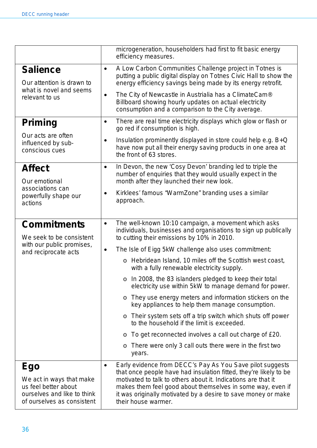<span id="page-35-0"></span>

|                                                                                                                             | microgeneration, householders had first to fit basic energy<br>efficiency measures.                                                                                                                                                                                                                                                                                |
|-----------------------------------------------------------------------------------------------------------------------------|--------------------------------------------------------------------------------------------------------------------------------------------------------------------------------------------------------------------------------------------------------------------------------------------------------------------------------------------------------------------|
| <b>Salience</b><br>Our attention is drawn to<br>what is novel and seems<br>relevant to us                                   | A Low Carbon Communities Challenge project in Totnes is<br>$\bullet$<br>putting a public digital display on Totnes Civic Hall to show the<br>energy efficiency savings being made by its energy retrofit.                                                                                                                                                          |
|                                                                                                                             | The City of Newcastle in Austrialia has a ClimateCam®<br>$\bullet$<br>Billboard showing hourly updates on actual electricity<br>consumption and a comparison to the City average.                                                                                                                                                                                  |
| Priming                                                                                                                     | There are real time electricity displays which glow or flash or<br>$\bullet$<br>go red if consumption is high.                                                                                                                                                                                                                                                     |
| Our acts are often<br>influenced by sub-<br>conscious cues                                                                  | Insulation prominently displayed in store could help e.g. B+Q<br>$\bullet$<br>have now put all their energy saving products in one area at<br>the front of 63 stores.                                                                                                                                                                                              |
| <b>Affect</b>                                                                                                               | In Devon, the new 'Cosy Devon' branding led to triple the<br>$\bullet$<br>number of enquiries that they would usually expect in the                                                                                                                                                                                                                                |
| Our emotional<br>associations can                                                                                           | month after they launched their new look.                                                                                                                                                                                                                                                                                                                          |
| powerfully shape our<br>actions                                                                                             | Kirklees' famous "WarmZone" branding uses a similar<br>$\bullet$<br>approach.                                                                                                                                                                                                                                                                                      |
| <b>Commitments</b><br>We seek to be consistent<br>with our public promises,<br>and reciprocate acts                         | The well-known 10:10 campaign, a movement which asks<br>$\bullet$<br>individuals, businesses and organisations to sign up publically<br>to cutting their emissions by 10% in 2010.                                                                                                                                                                                 |
|                                                                                                                             | The Isle of Eigg 5kW challenge also uses commitment:<br>$\bullet$                                                                                                                                                                                                                                                                                                  |
|                                                                                                                             | o Hebridean Island, 10 miles off the Scottish west coast,<br>with a fully renewable electricity supply.                                                                                                                                                                                                                                                            |
|                                                                                                                             | In 2008, the 83 islanders pledged to keep their total<br>$\circ$<br>electricity use within 5kW to manage demand for power.                                                                                                                                                                                                                                         |
|                                                                                                                             | They use energy meters and information stickers on the<br>O<br>key appliances to help them manage consumption.                                                                                                                                                                                                                                                     |
|                                                                                                                             | Their system sets off a trip switch which shuts off power<br>$\circ$<br>to the household if the limit is exceeded.                                                                                                                                                                                                                                                 |
|                                                                                                                             | To get reconnected involves a call out charge of £20.<br>O                                                                                                                                                                                                                                                                                                         |
|                                                                                                                             | There were only 3 call outs there were in the first two<br>O<br>years.                                                                                                                                                                                                                                                                                             |
| <b>Ego</b><br>We act in ways that make<br>us feel better about<br>ourselves and like to think<br>of ourselves as consistent | Early evidence from DECC's Pay As You Save pilot suggests<br>$\bullet$<br>that once people have had insulation fitted, they're likely to be<br>motivated to talk to others about it. Indications are that it<br>makes them feel good about themselves in some way, even if<br>it was originally motivated by a desire to save money or make<br>their house warmer. |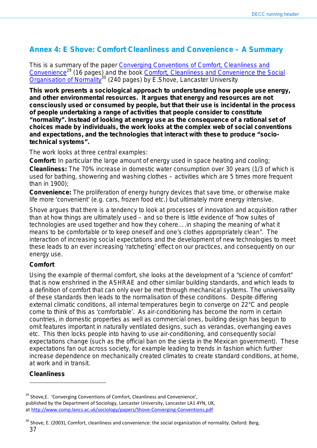# **Annex 4: E Shove: Comfort Cleanliness and Convenience – A Summary**

This is a summary of the paper [Converging Conventions of Comfort, Cleanliness and](http://www.lancs.ac.uk/fass/sociology/papers/shove-converging-conventions.pdf)  Convenience<sup>29</sup> (16 pages) and the book Comfort, Cleanliness and Convenience the Social  $\overline{O}$  [Organisation of Normality](http://www.bergpublishers.com/?tabid=1097)<sup>30</sup> (240 pages) by E.Shove, Lancaster University

**This work presents a sociological approach to understanding how people use energy, and other environmental resources. It argues that energy and resources are not consciously used or consumed by people, but that their use is incidental in the process of people undertaking a range of activities that people consider to constitute "normality". Instead of looking at energy use as the consequence of a rational set of choices made by individuals, the work looks at the complex web of social conventions and expectations, and the technologies that interact with these to produce "sociotechnical systems".**

The work looks at three central examples:

**Comfort:** In particular the large amount of energy used in space heating and cooling;

**Cleanliness:** The 70% increase in domestic water consumption over 30 years (1/3 of which is used for bathing, showering and washing clothes – activities which are 5 times more frequent than in 1900);

**Convenience:** The proliferation of energy hungry devices that save time, or otherwise make life more 'convenient' (e.g. cars, frozen food etc.) but ultimately more energy intensive.

Shove argues that there is a tendency to look at processes of innovation and acquisition rather than at how things are ultimately used – and so there is little evidence of "*how suites of technologies are used together and how they cohere….in shaping the meaning of what it means to be comfortable or to keep oneself and one's clothes appropriately clean*". The interaction of increasing social expectations and the development of new technologies to meet these leads to an ever increasing 'ratcheting' effect on our practices, and consequently on our energy use.

### **Comfort**

Using the example of thermal comfort, she looks at the development of a "science of comfort" that is now enshrined in the ASHRAE and other similar building standards, and which leads to a definition of comfort that can only ever be met through mechanical systems. The universality of these standards then leads to the normalisation of these conditions. Despite differing external climatic conditions, all internal temperatures begin to converge on 22°C and people come to think of this as 'comfortable'. As air-conditioning has become the norm in certain countries, in domestic properties as well as commercial ones, building design has begun to omit features important in naturally ventilated designs, such as verandas, overhanging eaves etc. This then locks people into having to use air-conditioning, and consequently social expectations change (such as the official ban on the siesta in the Mexican government). These expectations fan out across society, for example leading to trends in fashion which further increase dependence on mechanically created climates to create standard conditions, at home, at work and in transit.

### **Cleanliness**

<sup>30</sup> Shove, E. (2003), Comfort, cleanliness and convenience: the social organization of normality. Oxford: Berg.

<sup>&</sup>lt;sup>29</sup> Shove, E. 'Converging Conventions of Comfort, Cleanliness and Convenience', published by the Department of Sociology, Lancaster University, Lancaster LA1 4YN, UK, a[t http://www.comp.lancs.ac.uk/sociology/papers/Shove-Converging-Conventions.pdf](http://www.comp.lancs.ac.uk/sociology/papers/Shove-Converging-Conventions.pdf)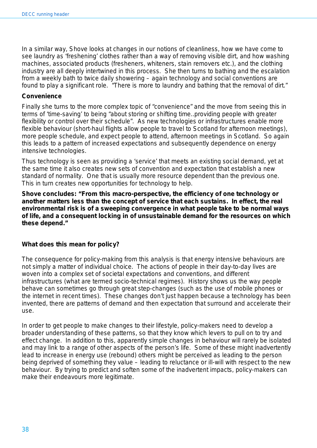In a similar way, Shove looks at changes in our notions of cleanliness, how we have come to see laundry as 'freshening' clothes rather than a way of removing visible dirt, and how washing machines, associated products (fresheners, whiteners, stain removers etc.), and the clothing industry are all deeply intertwined in this process. She then turns to bathing and the escalation from a weekly bath to twice daily showering – again technology and social conventions are found to play a significant role. "*There is more to laundry and bathing that the removal of dirt.*"

#### **Convenience**

Finally she turns to the more complex topic of "convenience" and the move from seeing this in terms of 'time-saving' to being "*about storing or shifting time..providing people with greater flexibility or control over their schedule*". As new technologies or infrastructures enable more flexible behaviour (short-haul flights allow people to travel to Scotland for afternoon meetings), more people schedule, and expect people to attend, afternoon meetings in Scotland. So again this leads to a pattern of increased expectations and subsequently dependence on energy intensive technologies.

Thus technology is seen as providing a 'service' that meets an existing social demand, yet at the same time it also creates new sets of convention and expectation that establish a new standard of normality. One that is usually more resource dependent than the previous one. This in turn creates new opportunities for technology to help.

**Shove concludes: "From this macro-perspective, the efficiency of one technology or another matters less than the concept of service that each sustains. In effect, the real environmental risk is of a sweeping convergence in what people take to be normal ways of life, and a consequent locking in of unsustainable demand for the resources on which these depend."** 

#### **What does this mean for policy?**

The consequence for policy-making from this analysis is that energy intensive behaviours are not simply a matter of individual choice. The actions of people in their day-to-day lives are woven into a complex set of societal expectations and conventions, and different infrastructures (what are termed socio-technical regimes). History shows us the way people behave can sometimes go through great step-changes (such as the use of mobile phones or the internet in recent times). These changes don't just happen because a technology has been invented, there are patterns of demand and then expectation that surround and accelerate their use.

In order to get people to make changes to their lifestyle, policy-makers need to develop a broader understanding of these patterns, so that they know which levers to pull on to try and effect change. In addition to this, apparently simple changes in behaviour will rarely be isolated and may link to a range of other aspects of the person's life. Some of these might inadvertently lead to increase in energy use (rebound) others might be perceived as leading to the person being deprived of something they value – leading to reluctance or ill-will with respect to the new behaviour. By trying to predict and soften some of the inadvertent impacts, policy-makers can make their endeavours more legitimate.